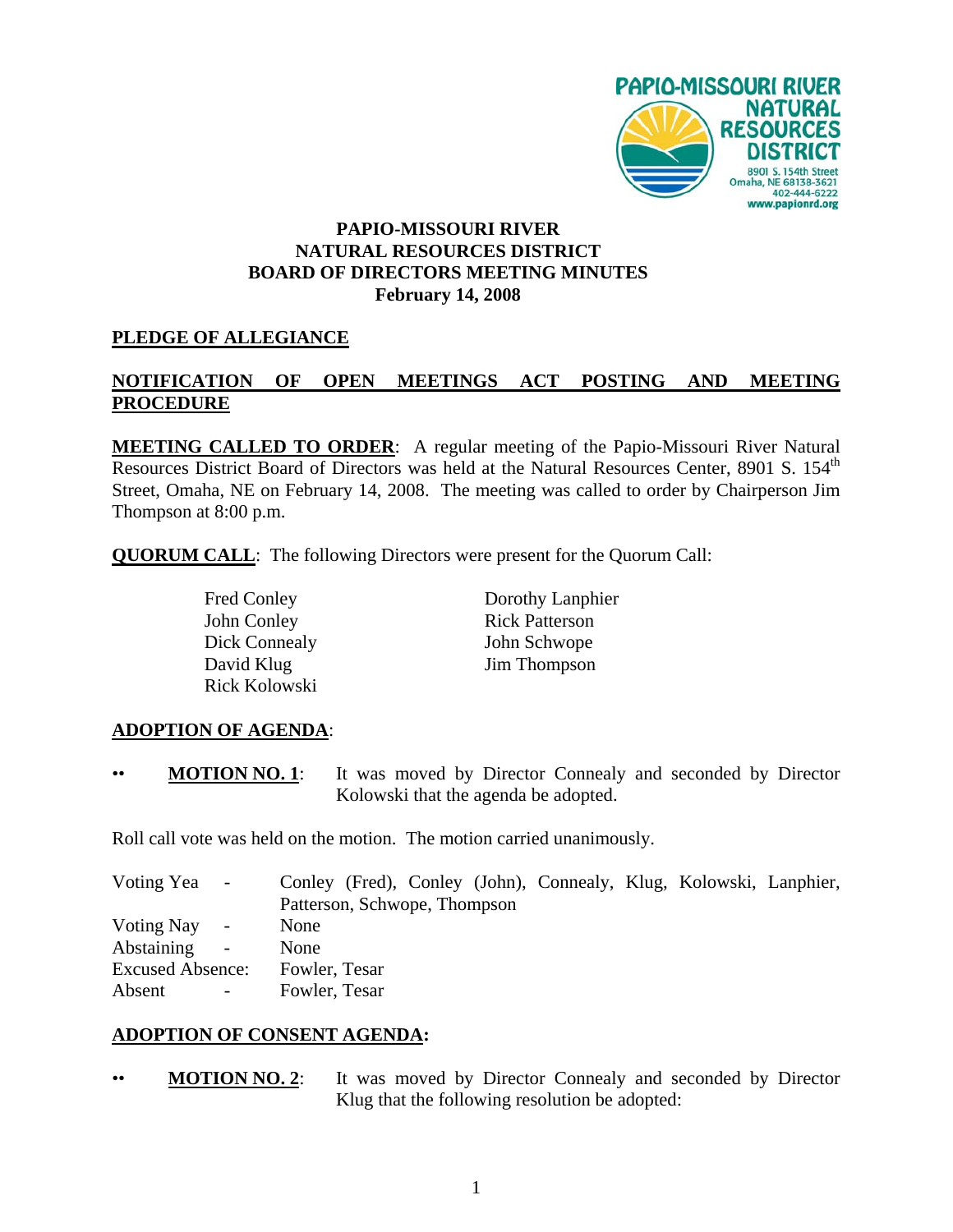

# **PAPIO-MISSOURI RIVER NATURAL RESOURCES DISTRICT BOARD OF DIRECTORS MEETING MINUTES February 14, 2008**

# **PLEDGE OF ALLEGIANCE**

# **NOTIFICATION OF OPEN MEETINGS ACT POSTING AND MEETING PROCEDURE**

**MEETING CALLED TO ORDER**: A regular meeting of the Papio-Missouri River Natural Resources District Board of Directors was held at the Natural Resources Center, 8901 S. 154<sup>th</sup> Street, Omaha, NE on February 14, 2008. The meeting was called to order by Chairperson Jim Thompson at 8:00 p.m.

**QUORUM CALL**: The following Directors were present for the Quorum Call:

John Conley Rick Patterson Dick Connealy John Schwope David Klug Jim Thompson Rick Kolowski

Fred Conley Dorothy Lanphier

# **ADOPTION OF AGENDA**:

• **MOTION NO. 1**: It was moved by Director Connealy and seconded by Director Kolowski that the agenda be adopted.

Roll call vote was held on the motion. The motion carried unanimously.

| Voting Yea<br>$\sim$        | Conley (Fred), Conley (John), Connealy, Klug, Kolowski, Lanphier, |
|-----------------------------|-------------------------------------------------------------------|
|                             | Patterson, Schwope, Thompson                                      |
| Voting Nay<br>$\sim$        | None                                                              |
| <b>Abstaining</b><br>$\sim$ | None                                                              |
| <b>Excused Absence:</b>     | Fowler, Tesar                                                     |
| Absent<br>$\sim$ .          | Fowler, Tesar                                                     |
|                             |                                                                   |

### **ADOPTION OF CONSENT AGENDA:**

• **MOTION NO. 2**: It was moved by Director Connealy and seconded by Director Klug that the following resolution be adopted: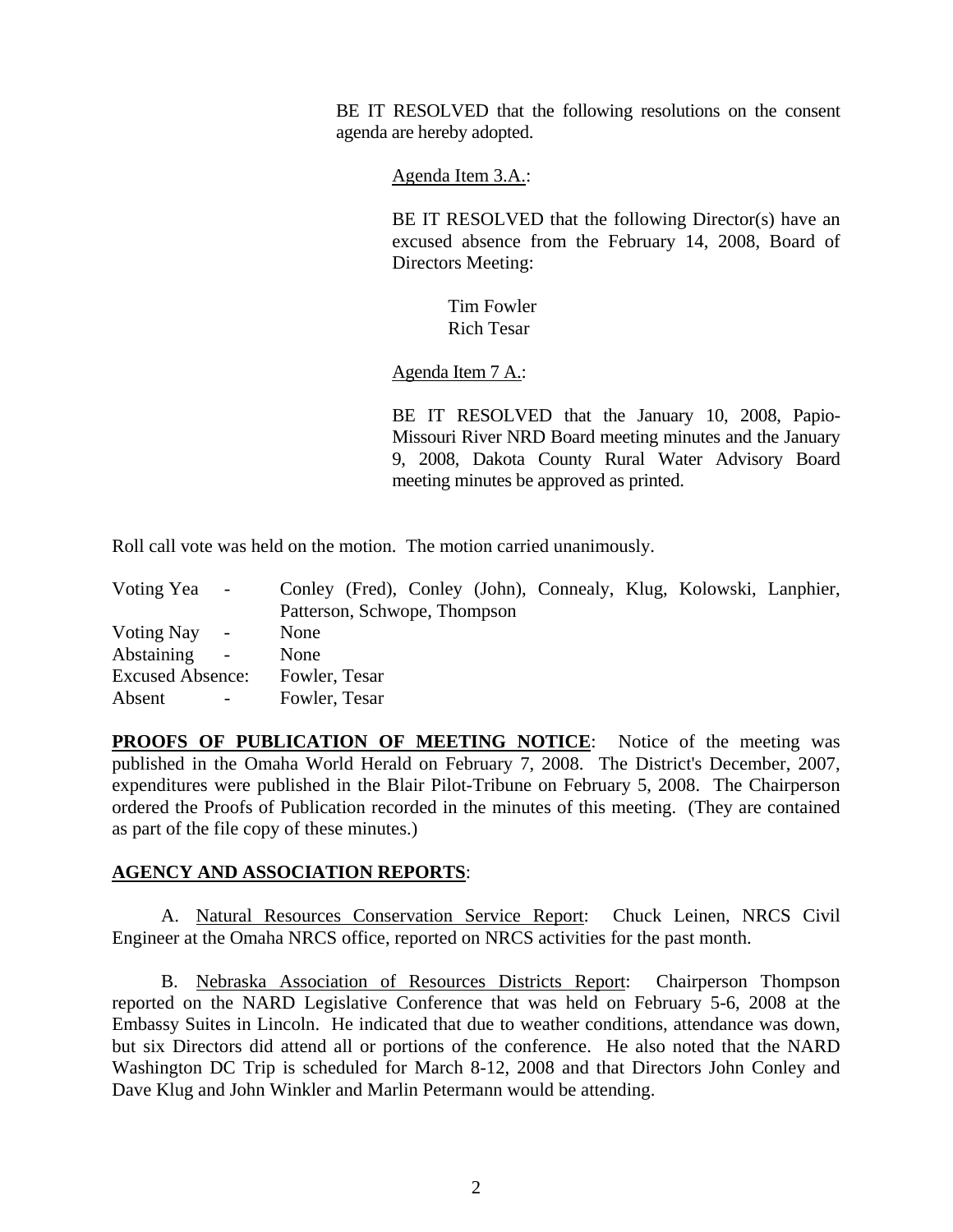BE IT RESOLVED that the following resolutions on the consent agenda are hereby adopted.

Agenda Item 3.A.:

BE IT RESOLVED that the following Director(s) have an excused absence from the February 14, 2008, Board of Directors Meeting:

> Tim Fowler Rich Tesar

Agenda Item 7 A.:

 BE IT RESOLVED that the January 10, 2008, Papio-Missouri River NRD Board meeting minutes and the January 9, 2008, Dakota County Rural Water Advisory Board meeting minutes be approved as printed.

Roll call vote was held on the motion. The motion carried unanimously.

| Voting Yea -            |                |               |                              |  | Conley (Fred), Conley (John), Connealy, Klug, Kolowski, Lanphier, |  |
|-------------------------|----------------|---------------|------------------------------|--|-------------------------------------------------------------------|--|
|                         |                |               | Patterson, Schwope, Thompson |  |                                                                   |  |
| Voting Nay              | $\sim$ $^{-1}$ | None          |                              |  |                                                                   |  |
| Abstaining              | $\sim$         | None          |                              |  |                                                                   |  |
| <b>Excused Absence:</b> |                | Fowler, Tesar |                              |  |                                                                   |  |
| Absent                  | $ \,$          | Fowler, Tesar |                              |  |                                                                   |  |

**PROOFS OF PUBLICATION OF MEETING NOTICE:** Notice of the meeting was published in the Omaha World Herald on February 7, 2008. The District's December, 2007, expenditures were published in the Blair Pilot-Tribune on February 5, 2008. The Chairperson ordered the Proofs of Publication recorded in the minutes of this meeting. (They are contained as part of the file copy of these minutes.)

### **AGENCY AND ASSOCIATION REPORTS**:

A. Natural Resources Conservation Service Report: Chuck Leinen, NRCS Civil Engineer at the Omaha NRCS office, reported on NRCS activities for the past month.

B. Nebraska Association of Resources Districts Report: Chairperson Thompson reported on the NARD Legislative Conference that was held on February 5-6, 2008 at the Embassy Suites in Lincoln. He indicated that due to weather conditions, attendance was down, but six Directors did attend all or portions of the conference. He also noted that the NARD Washington DC Trip is scheduled for March 8-12, 2008 and that Directors John Conley and Dave Klug and John Winkler and Marlin Petermann would be attending.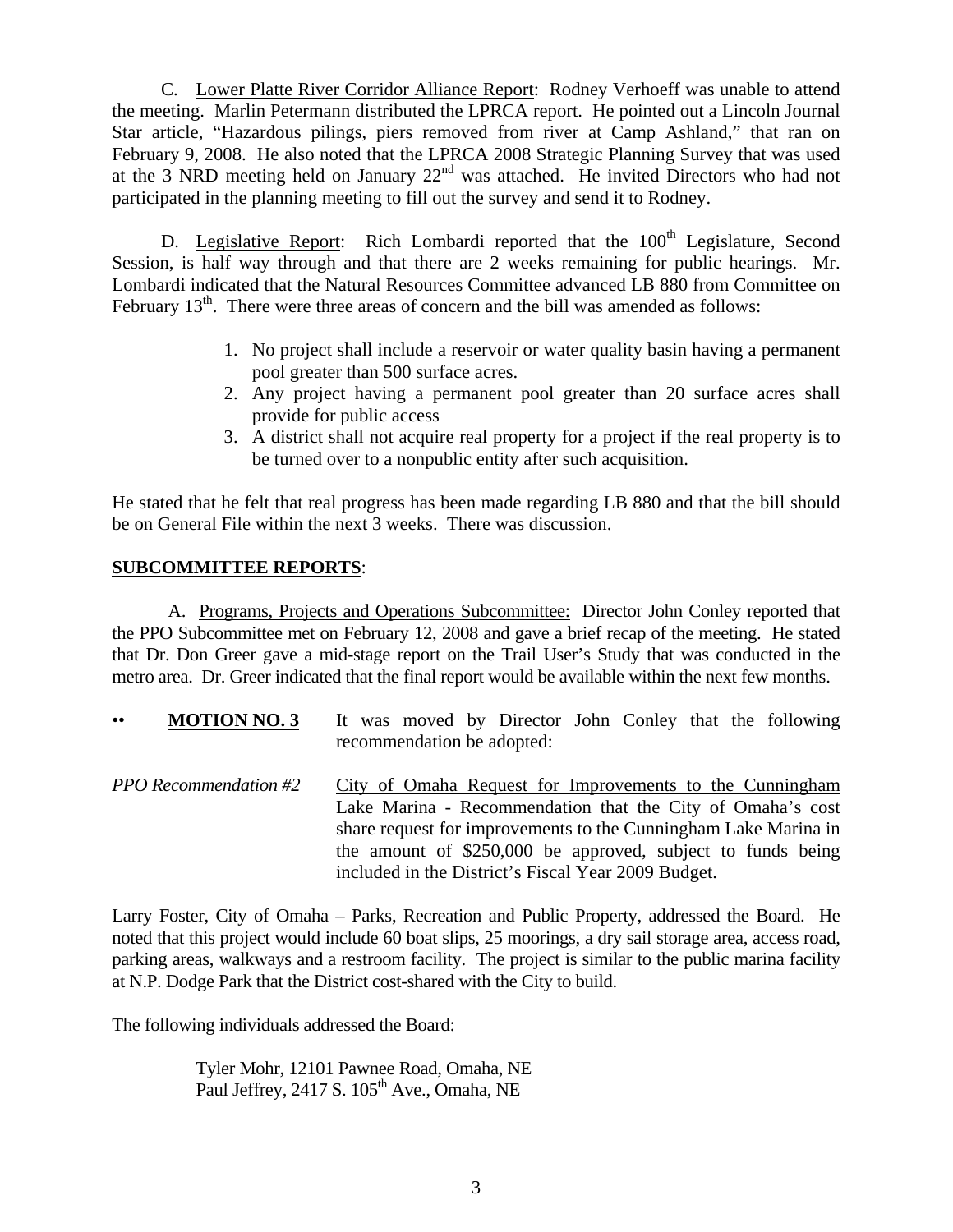C. Lower Platte River Corridor Alliance Report: Rodney Verhoeff was unable to attend the meeting. Marlin Petermann distributed the LPRCA report. He pointed out a Lincoln Journal Star article, "Hazardous pilings, piers removed from river at Camp Ashland," that ran on February 9, 2008. He also noted that the LPRCA 2008 Strategic Planning Survey that was used at the 3 NRD meeting held on January  $22<sup>nd</sup>$  was attached. He invited Directors who had not participated in the planning meeting to fill out the survey and send it to Rodney.

D. Legislative Report: Rich Lombardi reported that the 100<sup>th</sup> Legislature, Second Session, is half way through and that there are 2 weeks remaining for public hearings. Mr. Lombardi indicated that the Natural Resources Committee advanced LB 880 from Committee on February  $13<sup>th</sup>$ . There were three areas of concern and the bill was amended as follows:

- 1. No project shall include a reservoir or water quality basin having a permanent pool greater than 500 surface acres.
- 2. Any project having a permanent pool greater than 20 surface acres shall provide for public access
- 3. A district shall not acquire real property for a project if the real property is to be turned over to a nonpublic entity after such acquisition.

He stated that he felt that real progress has been made regarding LB 880 and that the bill should be on General File within the next 3 weeks. There was discussion.

### **SUBCOMMITTEE REPORTS**:

A. Programs, Projects and Operations Subcommittee: Director John Conley reported that the PPO Subcommittee met on February 12, 2008 and gave a brief recap of the meeting. He stated that Dr. Don Greer gave a mid-stage report on the Trail User's Study that was conducted in the metro area. Dr. Greer indicated that the final report would be available within the next few months.

| $\bullet\bullet$ | <b>MOTION NO. 3</b>          |  | recommendation be adopted: |  |  |  |  | It was moved by Director John Conley that the following  |
|------------------|------------------------------|--|----------------------------|--|--|--|--|----------------------------------------------------------|
|                  | <b>PPO</b> Recommendation #2 |  |                            |  |  |  |  | City of Omaha Request for Improvements to the Cunningham |

Lake Marina - Recommendation that the City of Omaha's cost share request for improvements to the Cunningham Lake Marina in the amount of \$250,000 be approved, subject to funds being included in the District's Fiscal Year 2009 Budget.

Larry Foster, City of Omaha – Parks, Recreation and Public Property, addressed the Board. He noted that this project would include 60 boat slips, 25 moorings, a dry sail storage area, access road, parking areas, walkways and a restroom facility. The project is similar to the public marina facility at N.P. Dodge Park that the District cost-shared with the City to build.

The following individuals addressed the Board:

 Tyler Mohr, 12101 Pawnee Road, Omaha, NE Paul Jeffrey, 2417 S. 105<sup>th</sup> Ave., Omaha, NE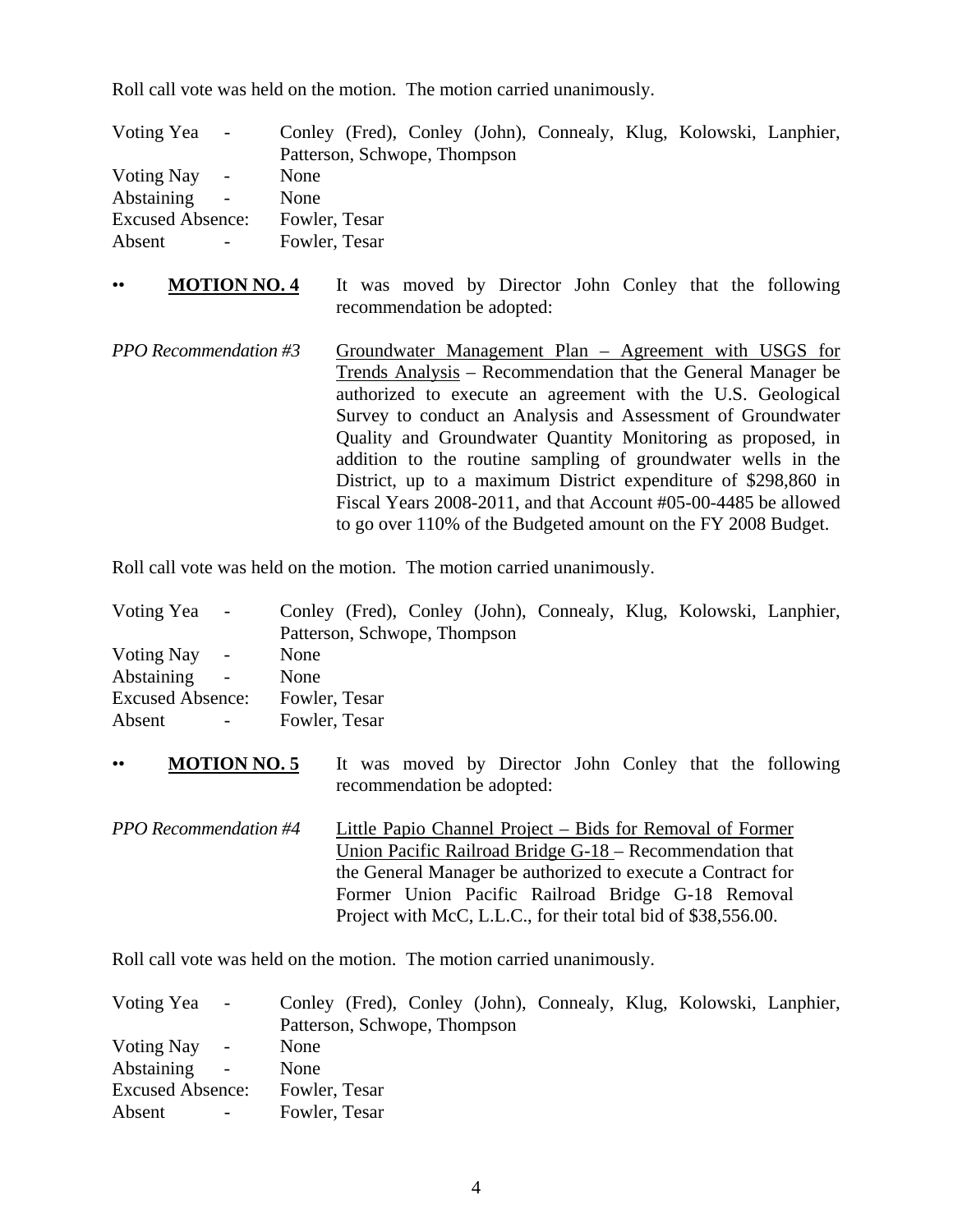Roll call vote was held on the motion. The motion carried unanimously.

| Voting Yea -            |                          |               |                              |  | Conley (Fred), Conley (John), Connealy, Klug, Kolowski, Lanphier, |  |
|-------------------------|--------------------------|---------------|------------------------------|--|-------------------------------------------------------------------|--|
|                         |                          |               | Patterson, Schwope, Thompson |  |                                                                   |  |
| Voting Nay -            |                          | None          |                              |  |                                                                   |  |
| Abstaining              | $\sim$                   | None          |                              |  |                                                                   |  |
| <b>Excused Absence:</b> |                          | Fowler, Tesar |                              |  |                                                                   |  |
| Absent                  | $\overline{\phantom{a}}$ | Fowler, Tesar |                              |  |                                                                   |  |

- **MOTION NO. 4** It was moved by Director John Conley that the following recommendation be adopted:
- *PPO Recommendation #3* Groundwater Management Plan Agreement with USGS for Trends Analysis – Recommendation that the General Manager be authorized to execute an agreement with the U.S. Geological Survey to conduct an Analysis and Assessment of Groundwater Quality and Groundwater Quantity Monitoring as proposed, in addition to the routine sampling of groundwater wells in the District, up to a maximum District expenditure of \$298,860 in Fiscal Years 2008-2011, and that Account #05-00-4485 be allowed to go over 110% of the Budgeted amount on the FY 2008 Budget.

Roll call vote was held on the motion. The motion carried unanimously.

| Voting Yea -            |          |               |                              |  | Conley (Fred), Conley (John), Connealy, Klug, Kolowski, Lanphier, |  |
|-------------------------|----------|---------------|------------------------------|--|-------------------------------------------------------------------|--|
|                         |          |               | Patterson, Schwope, Thompson |  |                                                                   |  |
| Voting Nay              | $\sim$ . | None          |                              |  |                                                                   |  |
| Abstaining              | $\sim$   | None          |                              |  |                                                                   |  |
| <b>Excused Absence:</b> |          | Fowler, Tesar |                              |  |                                                                   |  |
| Absent                  |          | Fowler, Tesar |                              |  |                                                                   |  |

- **MOTION NO. 5** It was moved by Director John Conley that the following recommendation be adopted:
- *PPO Recommendation #4* Little Papio Channel Project Bids for Removal of Former Union Pacific Railroad Bridge G-18 – Recommendation that the General Manager be authorized to execute a Contract for Former Union Pacific Railroad Bridge G-18 Removal Project with McC, L.L.C., for their total bid of \$38,556.00.

Roll call vote was held on the motion. The motion carried unanimously.

| Voting Yea              | $\sim$ |                              |  |  | Conley (Fred), Conley (John), Connealy, Klug, Kolowski, Lanphier, |  |
|-------------------------|--------|------------------------------|--|--|-------------------------------------------------------------------|--|
|                         |        | Patterson, Schwope, Thompson |  |  |                                                                   |  |
| Voting Nay              | $\sim$ | None                         |  |  |                                                                   |  |
| <b>Abstaining</b>       | $\sim$ | None                         |  |  |                                                                   |  |
| <b>Excused Absence:</b> |        | Fowler, Tesar                |  |  |                                                                   |  |
| Absent                  |        | Fowler, Tesar                |  |  |                                                                   |  |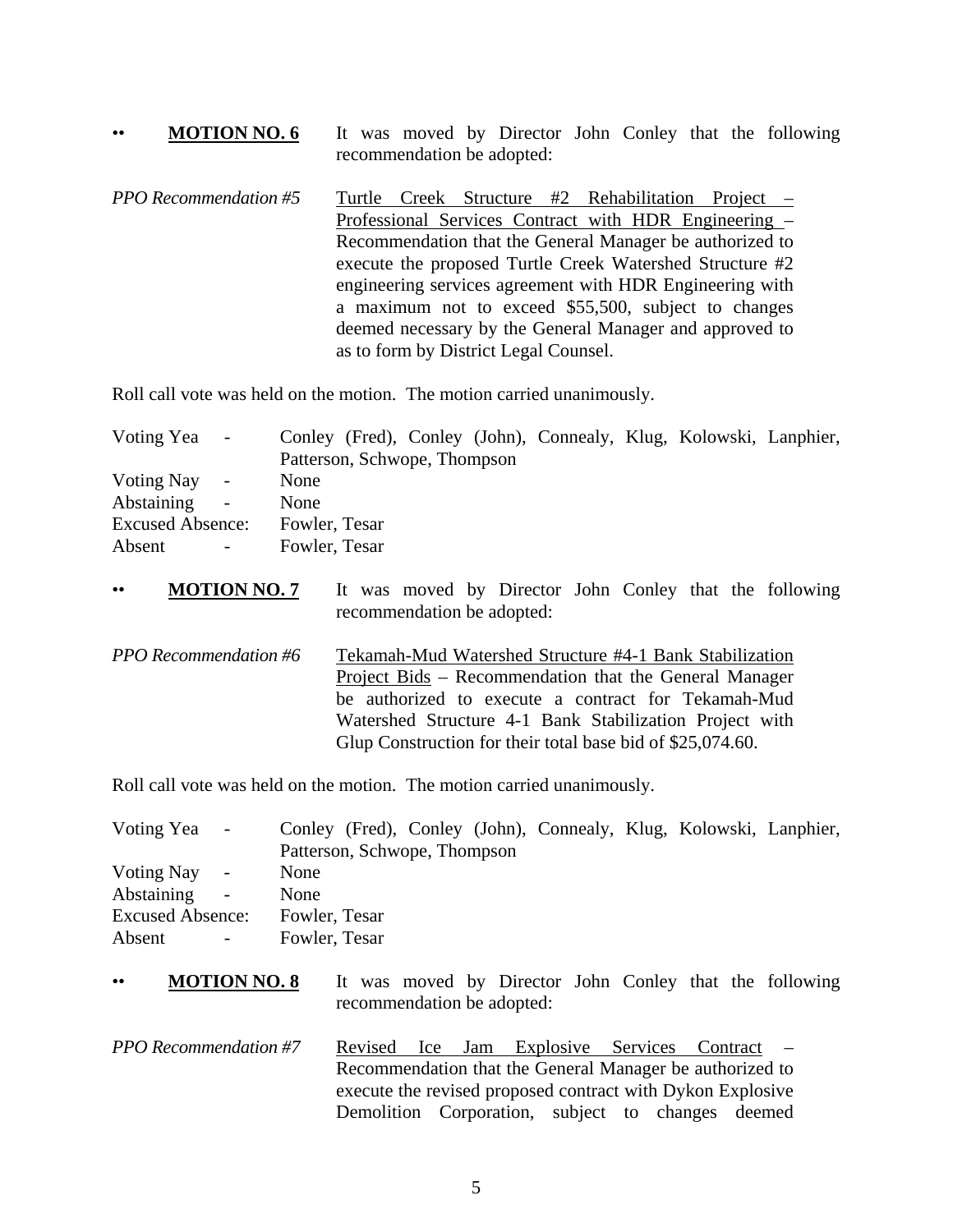#### • **MOTION NO. 6** It was moved by Director John Conley that the following recommendation be adopted:

*PPO Recommendation #5* Turtle Creek Structure #2 Rehabilitation Project – Professional Services Contract with HDR Engineering – Recommendation that the General Manager be authorized to execute the proposed Turtle Creek Watershed Structure #2 engineering services agreement with HDR Engineering with a maximum not to exceed \$55,500, subject to changes deemed necessary by the General Manager and approved to as to form by District Legal Counsel.

Roll call vote was held on the motion. The motion carried unanimously.

| Voting Yea -                | Conley (Fred), Conley (John), Connealy, Klug, Kolowski, Lanphier, |
|-----------------------------|-------------------------------------------------------------------|
|                             | Patterson, Schwope, Thompson                                      |
| Voting Nay<br>$\sim$ $\sim$ | None                                                              |
| <b>Abstaining</b><br>$\sim$ | None                                                              |
| <b>Excused Absence:</b>     | Fowler, Tesar                                                     |
| Absent<br>$\sim$            | Fowler, Tesar                                                     |
|                             |                                                                   |

- **MOTION NO. 7** It was moved by Director John Conley that the following recommendation be adopted:
- *PPO Recommendation #6* Tekamah-Mud Watershed Structure #4-1 Bank Stabilization Project Bids – Recommendation that the General Manager be authorized to execute a contract for Tekamah-Mud Watershed Structure 4-1 Bank Stabilization Project with Glup Construction for their total base bid of \$25,074.60.

Roll call vote was held on the motion. The motion carried unanimously.

| Voting Yea<br>$\sim$               |      |                              |  |  | Conley (Fred), Conley (John), Connealy, Klug, Kolowski, Lanphier, |  |
|------------------------------------|------|------------------------------|--|--|-------------------------------------------------------------------|--|
|                                    |      | Patterson, Schwope, Thompson |  |  |                                                                   |  |
| Voting Nay<br>$\sim$ .             | None |                              |  |  |                                                                   |  |
| Abstaining<br>$\sim$               | None |                              |  |  |                                                                   |  |
| <b>Excused Absence:</b>            |      | Fowler, Tesar                |  |  |                                                                   |  |
| Absent<br>$\overline{\phantom{a}}$ |      | Fowler, Tesar                |  |  |                                                                   |  |

- •• **MOTION NO. 8** It was moved by Director John Conley that the following recommendation be adopted:
- *PPO Recommendation #7* Revised Ice Jam Explosive Services Contract Recommendation that the General Manager be authorized to execute the revised proposed contract with Dykon Explosive Demolition Corporation, subject to changes deemed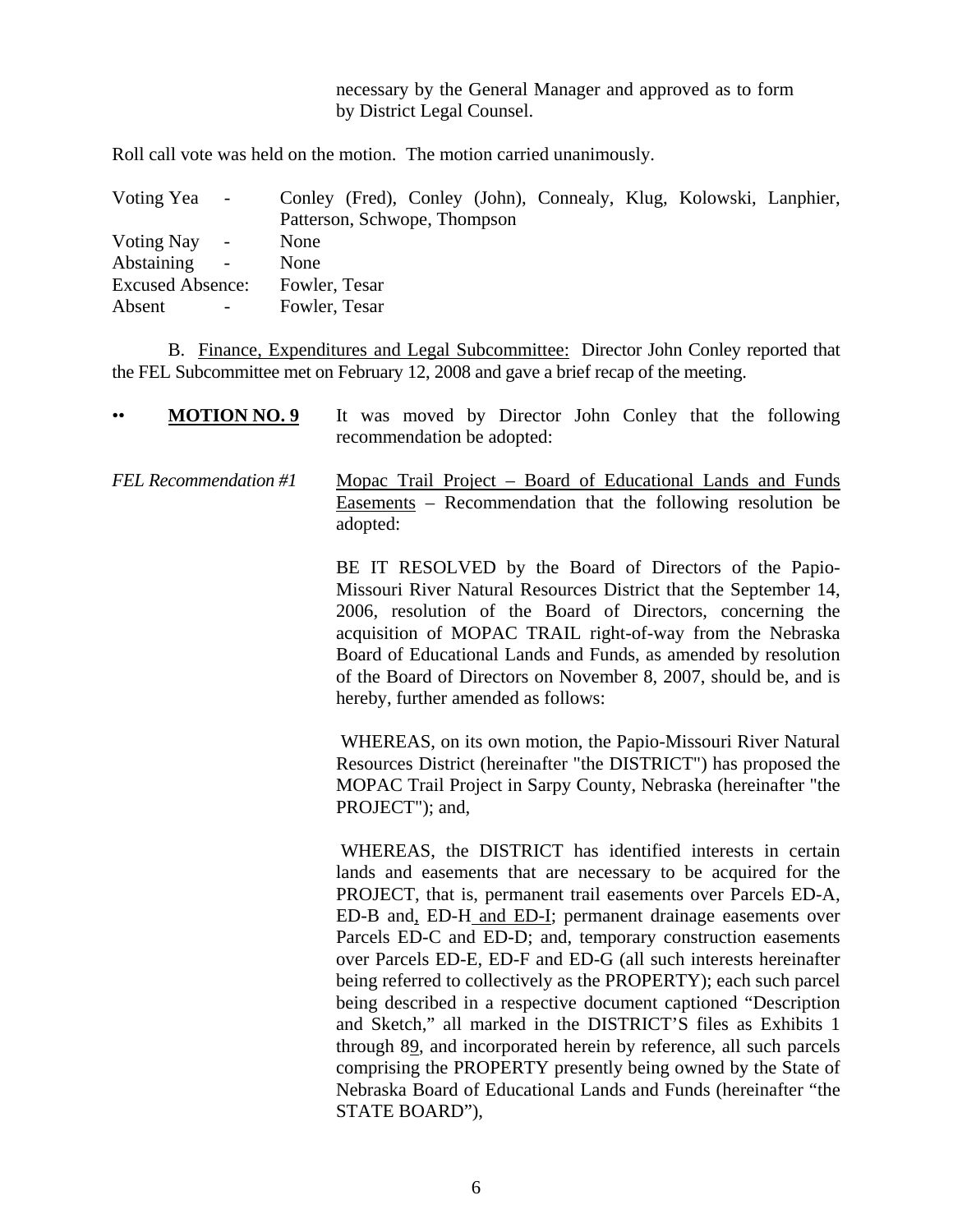necessary by the General Manager and approved as to form by District Legal Counsel.

Roll call vote was held on the motion. The motion carried unanimously.

| Voting Yea -            |                          |               |                              |  | Conley (Fred), Conley (John), Connealy, Klug, Kolowski, Lanphier, |  |
|-------------------------|--------------------------|---------------|------------------------------|--|-------------------------------------------------------------------|--|
|                         |                          |               | Patterson, Schwope, Thompson |  |                                                                   |  |
| Voting Nay              | $\sim$                   | None          |                              |  |                                                                   |  |
| Abstaining              | $\sim$                   | None          |                              |  |                                                                   |  |
| <b>Excused Absence:</b> |                          | Fowler, Tesar |                              |  |                                                                   |  |
| Absent                  | $\overline{\phantom{a}}$ | Fowler, Tesar |                              |  |                                                                   |  |

B. Finance, Expenditures and Legal Subcommittee: Director John Conley reported that the FEL Subcommittee met on February 12, 2008 and gave a brief recap of the meeting.

| <b>MOTION NO. 9</b><br>$\bullet\bullet$ | It was moved by Director John Conley that the following<br>recommendation be adopted:                                                                                                                                                                                                                                   |
|-----------------------------------------|-------------------------------------------------------------------------------------------------------------------------------------------------------------------------------------------------------------------------------------------------------------------------------------------------------------------------|
| <b>FEL Recommendation #1</b>            | Mopac Trail Project – Board of Educational Lands and Funds<br>$Esements – Recommentation that the following resolution be$<br>adopted:                                                                                                                                                                                  |
|                                         | BE IT RESOLVED by the Board of Directors of the Papio-<br>Missouri River Natural Resources District that the September 14,<br>2006, resolution of the Board of Directors, concerning the<br>acquisition of MOPAC TRAIL right-of-way from the Nebraska<br>Board of Educational Lands and Funds, as amended by resolution |

hereby, further amended as follows:

 WHEREAS, on its own motion, the Papio-Missouri River Natural Resources District (hereinafter "the DISTRICT") has proposed the MOPAC Trail Project in Sarpy County, Nebraska (hereinafter "the PROJECT"); and,

of the Board of Directors on November 8, 2007, should be, and is

 WHEREAS, the DISTRICT has identified interests in certain lands and easements that are necessary to be acquired for the PROJECT, that is, permanent trail easements over Parcels ED-A, ED-B and, ED-H and ED-I; permanent drainage easements over Parcels ED-C and ED-D; and, temporary construction easements over Parcels ED-E, ED-F and ED-G (all such interests hereinafter being referred to collectively as the PROPERTY); each such parcel being described in a respective document captioned "Description and Sketch," all marked in the DISTRICT'S files as Exhibits 1 through 89, and incorporated herein by reference, all such parcels comprising the PROPERTY presently being owned by the State of Nebraska Board of Educational Lands and Funds (hereinafter "the STATE BOARD"),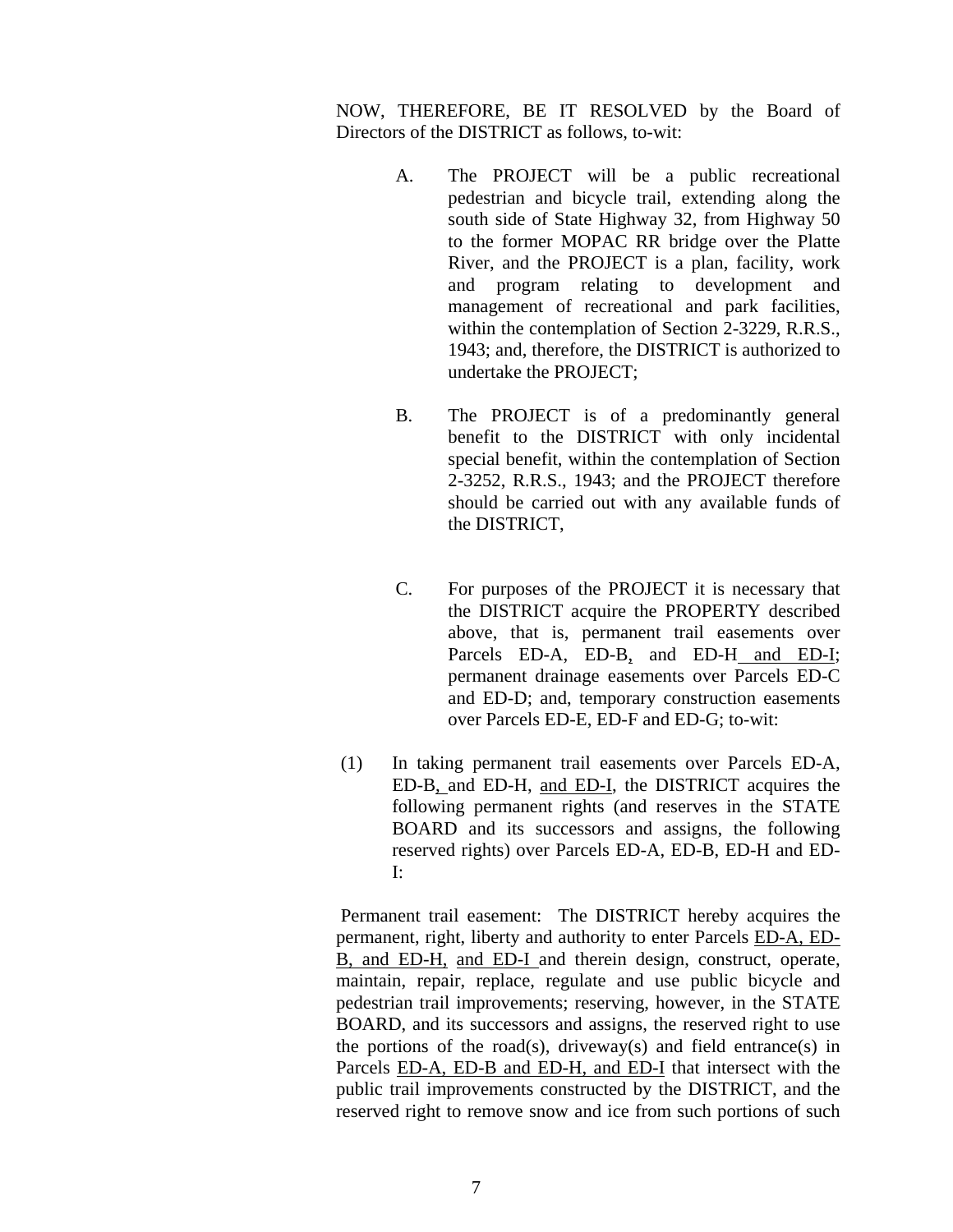NOW, THEREFORE, BE IT RESOLVED by the Board of Directors of the DISTRICT as follows, to-wit:

- A. The PROJECT will be a public recreational pedestrian and bicycle trail, extending along the south side of State Highway 32, from Highway 50 to the former MOPAC RR bridge over the Platte River, and the PROJECT is a plan, facility, work and program relating to development and management of recreational and park facilities, within the contemplation of Section 2-3229, R.R.S., 1943; and, therefore, the DISTRICT is authorized to undertake the PROJECT;
- B. The PROJECT is of a predominantly general benefit to the DISTRICT with only incidental special benefit, within the contemplation of Section 2-3252, R.R.S., 1943; and the PROJECT therefore should be carried out with any available funds of the DISTRICT,
- C. For purposes of the PROJECT it is necessary that the DISTRICT acquire the PROPERTY described above, that is, permanent trail easements over Parcels ED-A, ED-B, and ED-H and ED-I; permanent drainage easements over Parcels ED-C and ED-D; and, temporary construction easements over Parcels ED-E, ED-F and ED-G; to-wit:
- (1) In taking permanent trail easements over Parcels ED-A, ED-B, and ED-H, and ED-I, the DISTRICT acquires the following permanent rights (and reserves in the STATE BOARD and its successors and assigns, the following reserved rights) over Parcels ED-A, ED-B, ED-H and ED-I:

 Permanent trail easement: The DISTRICT hereby acquires the permanent, right, liberty and authority to enter Parcels ED-A, ED-B, and ED-H, and ED-I and therein design, construct, operate, maintain, repair, replace, regulate and use public bicycle and pedestrian trail improvements; reserving, however, in the STATE BOARD, and its successors and assigns, the reserved right to use the portions of the road(s), driveway(s) and field entrance(s) in Parcels ED-A, ED-B and ED-H, and ED-I that intersect with the public trail improvements constructed by the DISTRICT, and the reserved right to remove snow and ice from such portions of such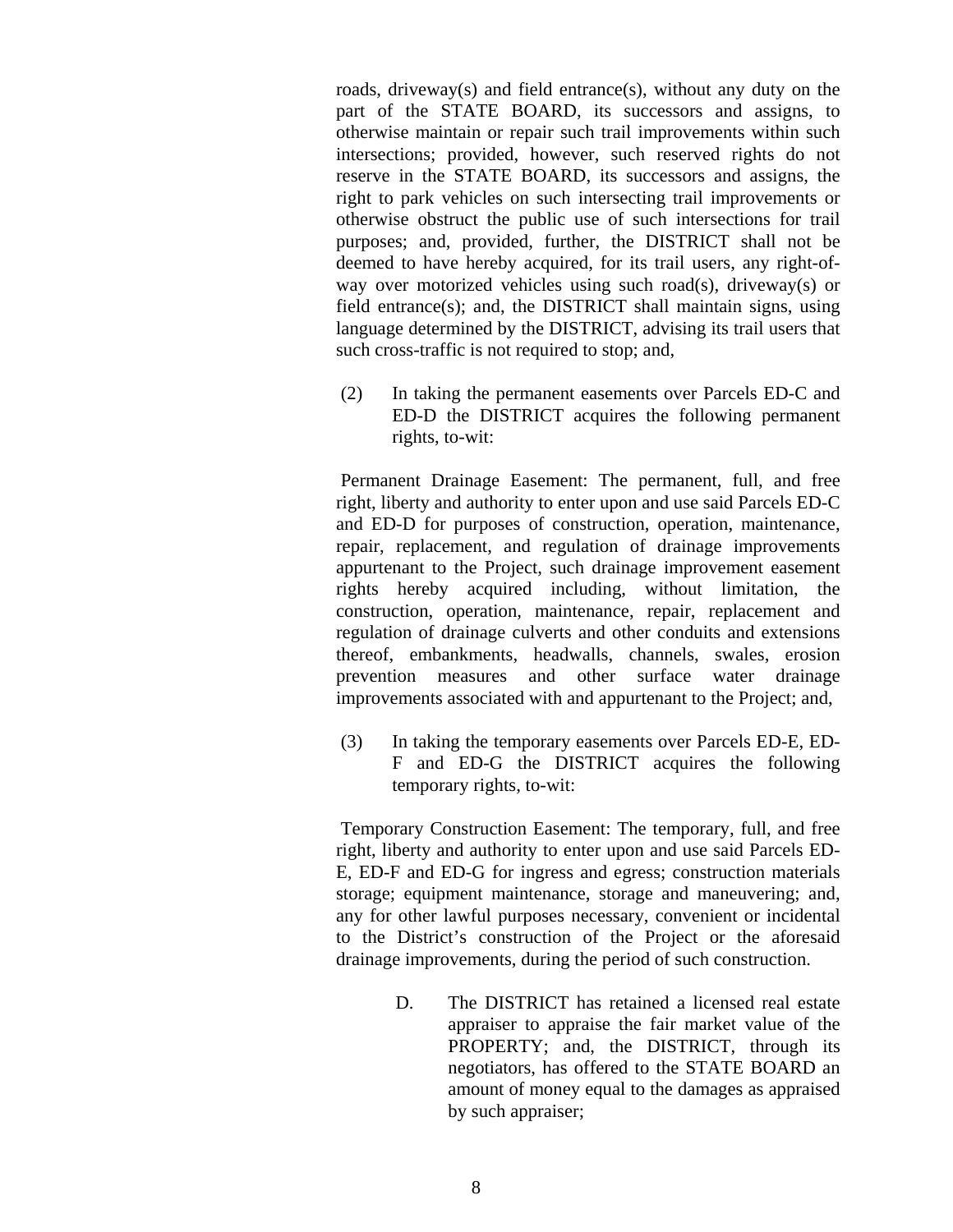roads, driveway(s) and field entrance(s), without any duty on the part of the STATE BOARD, its successors and assigns, to otherwise maintain or repair such trail improvements within such intersections; provided, however, such reserved rights do not reserve in the STATE BOARD, its successors and assigns, the right to park vehicles on such intersecting trail improvements or otherwise obstruct the public use of such intersections for trail purposes; and, provided, further, the DISTRICT shall not be deemed to have hereby acquired, for its trail users, any right-ofway over motorized vehicles using such road(s), driveway(s) or field entrance(s); and, the DISTRICT shall maintain signs, using language determined by the DISTRICT, advising its trail users that such cross-traffic is not required to stop; and,

(2) In taking the permanent easements over Parcels ED-C and ED-D the DISTRICT acquires the following permanent rights, to-wit:

 Permanent Drainage Easement: The permanent, full, and free right, liberty and authority to enter upon and use said Parcels ED-C and ED-D for purposes of construction, operation, maintenance, repair, replacement, and regulation of drainage improvements appurtenant to the Project, such drainage improvement easement rights hereby acquired including, without limitation, the construction, operation, maintenance, repair, replacement and regulation of drainage culverts and other conduits and extensions thereof, embankments, headwalls, channels, swales, erosion prevention measures and other surface water drainage improvements associated with and appurtenant to the Project; and,

(3) In taking the temporary easements over Parcels ED-E, ED-F and ED-G the DISTRICT acquires the following temporary rights, to-wit:

 Temporary Construction Easement: The temporary, full, and free right, liberty and authority to enter upon and use said Parcels ED-E, ED-F and ED-G for ingress and egress; construction materials storage; equipment maintenance, storage and maneuvering; and, any for other lawful purposes necessary, convenient or incidental to the District's construction of the Project or the aforesaid drainage improvements, during the period of such construction.

> D. The DISTRICT has retained a licensed real estate appraiser to appraise the fair market value of the PROPERTY; and, the DISTRICT, through its negotiators, has offered to the STATE BOARD an amount of money equal to the damages as appraised by such appraiser;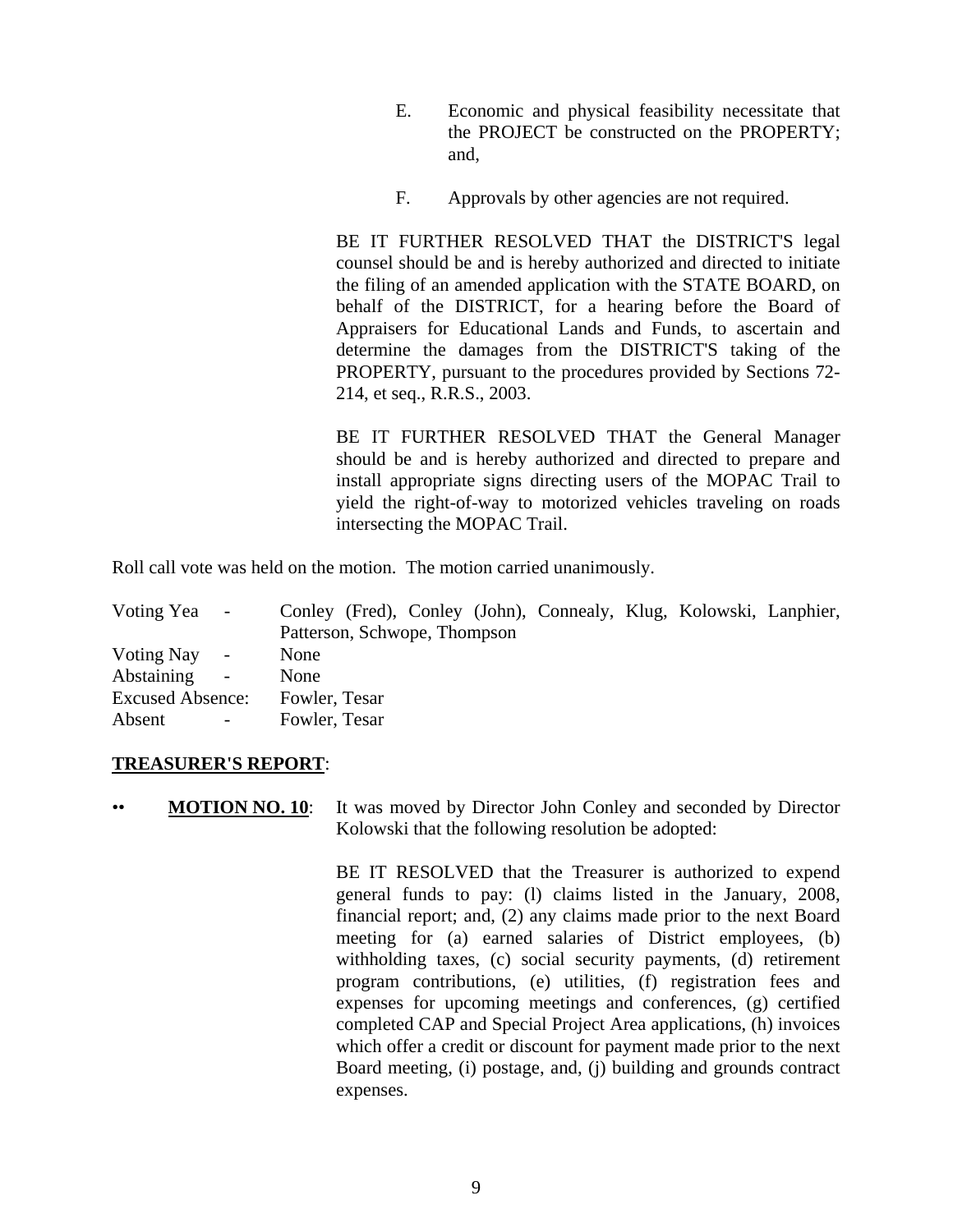- E. Economic and physical feasibility necessitate that the PROJECT be constructed on the PROPERTY; and,
- F. Approvals by other agencies are not required.

BE IT FURTHER RESOLVED THAT the DISTRICT'S legal counsel should be and is hereby authorized and directed to initiate the filing of an amended application with the STATE BOARD, on behalf of the DISTRICT, for a hearing before the Board of Appraisers for Educational Lands and Funds, to ascertain and determine the damages from the DISTRICT'S taking of the PROPERTY, pursuant to the procedures provided by Sections 72- 214, et seq., R.R.S., 2003.

BE IT FURTHER RESOLVED THAT the General Manager should be and is hereby authorized and directed to prepare and install appropriate signs directing users of the MOPAC Trail to yield the right-of-way to motorized vehicles traveling on roads intersecting the MOPAC Trail.

Roll call vote was held on the motion. The motion carried unanimously.

| Voting Yea              | $\sim$                   |                              |  |  | Conley (Fred), Conley (John), Connealy, Klug, Kolowski, Lanphier, |  |
|-------------------------|--------------------------|------------------------------|--|--|-------------------------------------------------------------------|--|
|                         |                          | Patterson, Schwope, Thompson |  |  |                                                                   |  |
| <b>Voting Nay</b>       | $\sim$ .                 | None                         |  |  |                                                                   |  |
| Abstaining              | $\sim$                   | None                         |  |  |                                                                   |  |
| <b>Excused Absence:</b> |                          | Fowler, Tesar                |  |  |                                                                   |  |
| Absent                  | $\overline{\phantom{a}}$ | Fowler, Tesar                |  |  |                                                                   |  |

### **TREASURER'S REPORT**:

• **MOTION NO. 10**: It was moved by Director John Conley and seconded by Director Kolowski that the following resolution be adopted:

> BE IT RESOLVED that the Treasurer is authorized to expend general funds to pay: (l) claims listed in the January, 2008, financial report; and, (2) any claims made prior to the next Board meeting for (a) earned salaries of District employees, (b) withholding taxes, (c) social security payments, (d) retirement program contributions, (e) utilities, (f) registration fees and expenses for upcoming meetings and conferences, (g) certified completed CAP and Special Project Area applications, (h) invoices which offer a credit or discount for payment made prior to the next Board meeting, (i) postage, and, (j) building and grounds contract expenses.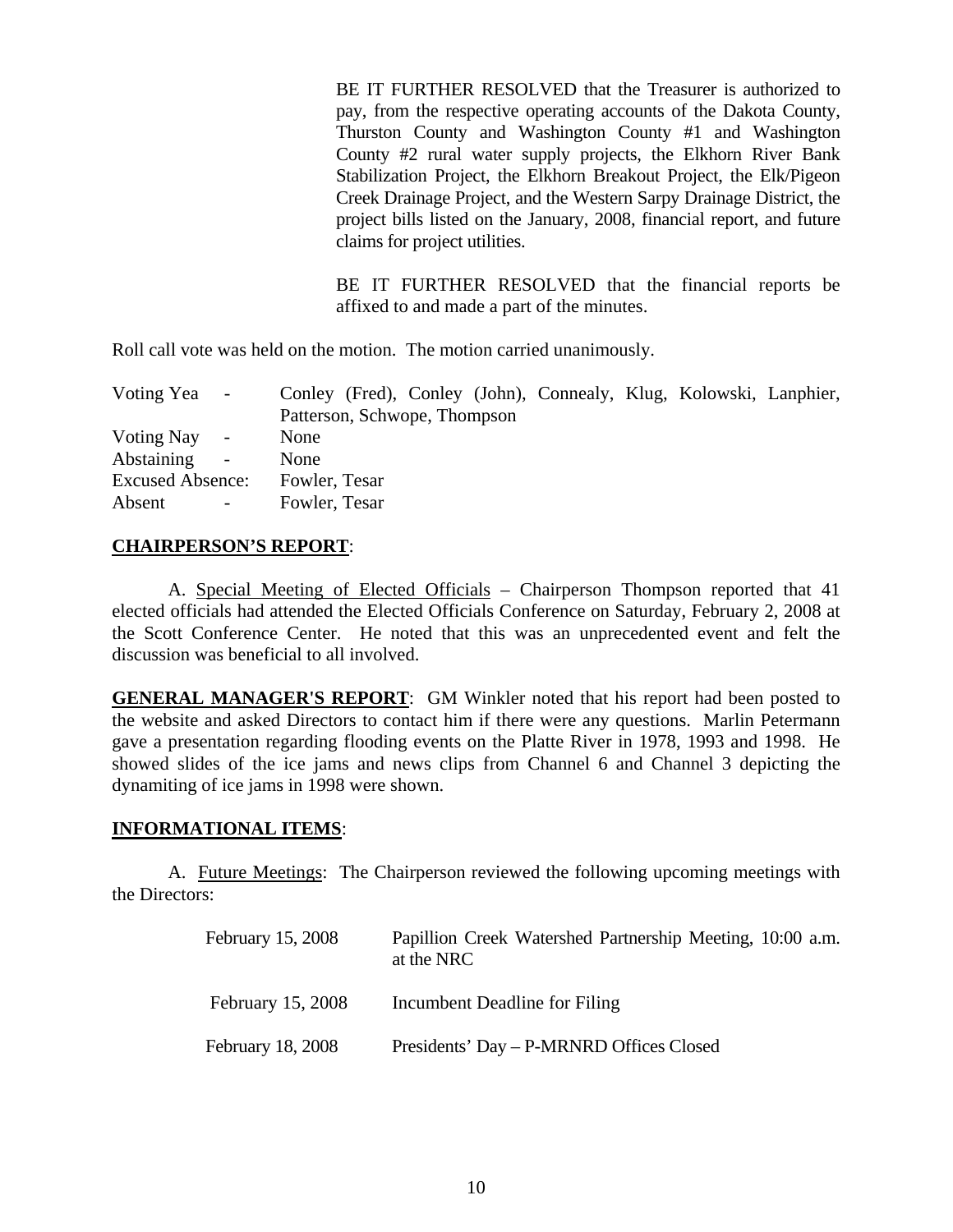BE IT FURTHER RESOLVED that the Treasurer is authorized to pay, from the respective operating accounts of the Dakota County, Thurston County and Washington County #1 and Washington County #2 rural water supply projects, the Elkhorn River Bank Stabilization Project, the Elkhorn Breakout Project, the Elk/Pigeon Creek Drainage Project, and the Western Sarpy Drainage District, the project bills listed on the January, 2008, financial report, and future claims for project utilities.

BE IT FURTHER RESOLVED that the financial reports be affixed to and made a part of the minutes.

Roll call vote was held on the motion. The motion carried unanimously.

| Voting Yea              | $\sim$                   |               |                              |  | Conley (Fred), Conley (John), Connealy, Klug, Kolowski, Lanphier, |  |
|-------------------------|--------------------------|---------------|------------------------------|--|-------------------------------------------------------------------|--|
|                         |                          |               | Patterson, Schwope, Thompson |  |                                                                   |  |
| Voting Nay              | $\sim$                   | None          |                              |  |                                                                   |  |
| Abstaining              | $\sim$                   | None          |                              |  |                                                                   |  |
| <b>Excused Absence:</b> |                          | Fowler, Tesar |                              |  |                                                                   |  |
| Absent                  | $\overline{\phantom{a}}$ | Fowler, Tesar |                              |  |                                                                   |  |

### **CHAIRPERSON'S REPORT**:

A. Special Meeting of Elected Officials – Chairperson Thompson reported that 41 elected officials had attended the Elected Officials Conference on Saturday, February 2, 2008 at the Scott Conference Center. He noted that this was an unprecedented event and felt the discussion was beneficial to all involved.

**GENERAL MANAGER'S REPORT**: GM Winkler noted that his report had been posted to the website and asked Directors to contact him if there were any questions. Marlin Petermann gave a presentation regarding flooding events on the Platte River in 1978, 1993 and 1998. He showed slides of the ice jams and news clips from Channel 6 and Channel 3 depicting the dynamiting of ice jams in 1998 were shown.

### **INFORMATIONAL ITEMS**:

 A. Future Meetings: The Chairperson reviewed the following upcoming meetings with the Directors:

| February 15, 2008        | Papillion Creek Watershed Partnership Meeting, 10:00 a.m.<br>at the NRC |
|--------------------------|-------------------------------------------------------------------------|
| February 15, 2008        | Incumbent Deadline for Filing                                           |
| <b>February 18, 2008</b> | Presidents' Day – P-MRNRD Offices Closed                                |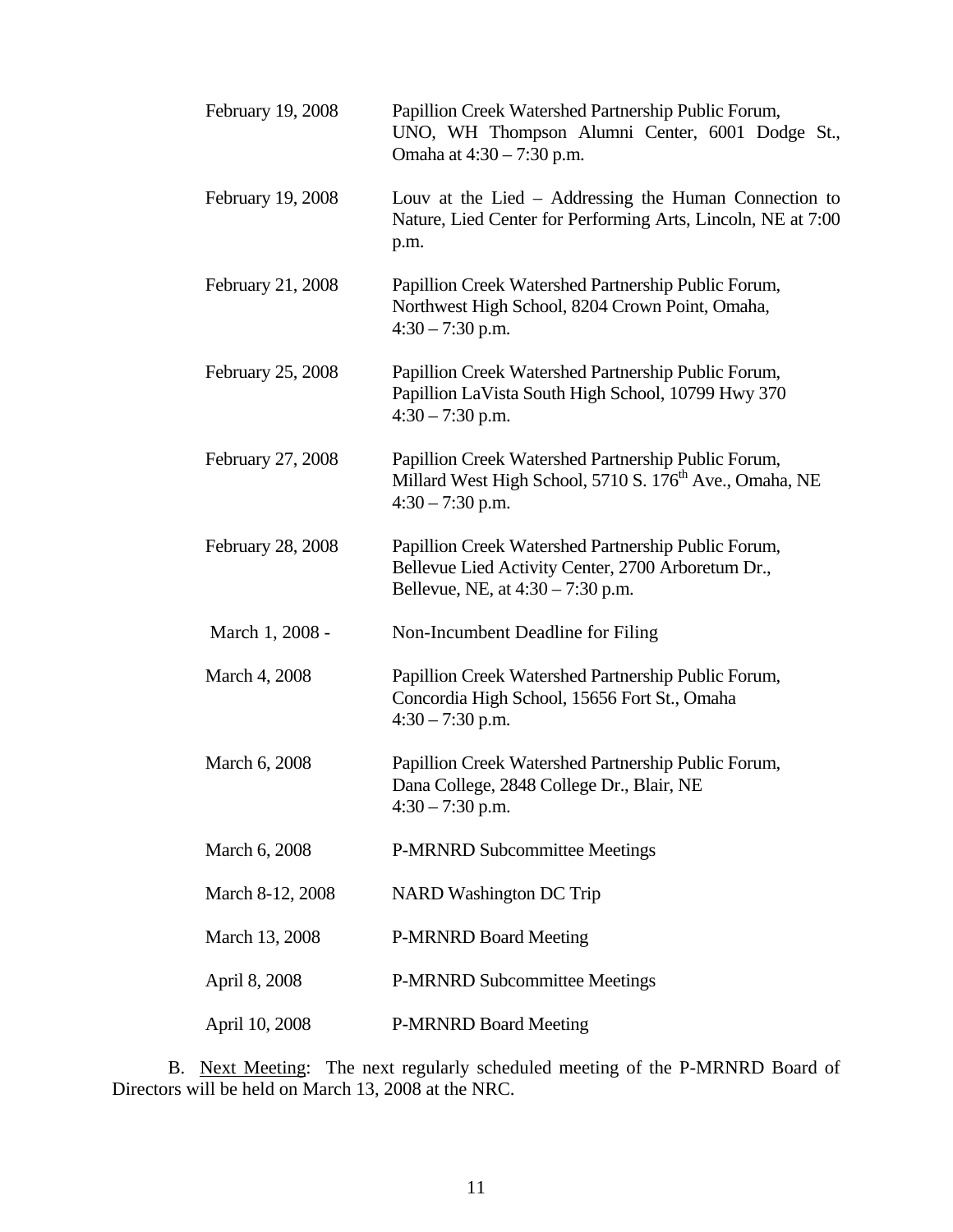| February 19, 2008 | Papillion Creek Watershed Partnership Public Forum,<br>UNO, WH Thompson Alumni Center, 6001 Dodge St.,<br>Omaha at 4:30 – 7:30 p.m.              |
|-------------------|--------------------------------------------------------------------------------------------------------------------------------------------------|
| February 19, 2008 | Louv at the Lied – Addressing the Human Connection to<br>Nature, Lied Center for Performing Arts, Lincoln, NE at 7:00<br>p.m.                    |
| February 21, 2008 | Papillion Creek Watershed Partnership Public Forum,<br>Northwest High School, 8204 Crown Point, Omaha,<br>$4:30 - 7:30$ p.m.                     |
| February 25, 2008 | Papillion Creek Watershed Partnership Public Forum,<br>Papillion LaVista South High School, 10799 Hwy 370<br>$4:30 - 7:30$ p.m.                  |
| February 27, 2008 | Papillion Creek Watershed Partnership Public Forum,<br>Millard West High School, 5710 S. 176 <sup>th</sup> Ave., Omaha, NE<br>$4:30 - 7:30$ p.m. |
| February 28, 2008 | Papillion Creek Watershed Partnership Public Forum,<br>Bellevue Lied Activity Center, 2700 Arboretum Dr.,<br>Bellevue, NE, at $4:30 - 7:30$ p.m. |
| March 1, 2008 -   | Non-Incumbent Deadline for Filing                                                                                                                |
| March 4, 2008     | Papillion Creek Watershed Partnership Public Forum,<br>Concordia High School, 15656 Fort St., Omaha<br>$4:30 - 7:30$ p.m.                        |
| March 6, 2008     | Papillion Creek Watershed Partnership Public Forum,<br>Dana College, 2848 College Dr., Blair, NE<br>$4:30 - 7:30$ p.m.                           |
| March 6, 2008     | <b>P-MRNRD Subcommittee Meetings</b>                                                                                                             |
| March 8-12, 2008  | <b>NARD Washington DC Trip</b>                                                                                                                   |
| March 13, 2008    | <b>P-MRNRD Board Meeting</b>                                                                                                                     |
| April 8, 2008     | <b>P-MRNRD Subcommittee Meetings</b>                                                                                                             |
| April 10, 2008    | <b>P-MRNRD Board Meeting</b>                                                                                                                     |

B. Next Meeting: The next regularly scheduled meeting of the P-MRNRD Board of Directors will be held on March 13, 2008 at the NRC.